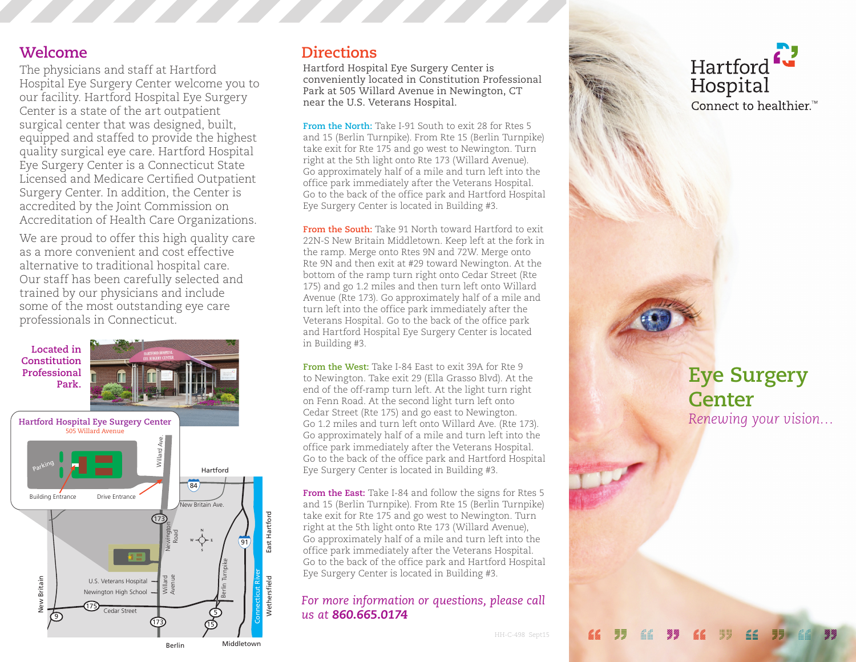#### **Welcome**

The physicians and staff at Hartford Hospital Eye Surgery Center welcome you to our facility. Hartford Hospital Eye Surgery Center is a state of the art outpatient surgical center that was designed, built, equipped and staffed to provide the highest quality surgical eye care. Hartford Hospital Eye Surgery Center is a Connecticut State Licensed and Medicare Certified Outpatient Surgery Center. In addition, the Center is accredited by the Joint Commission on Accreditation of Health Care Organizations.

We are proud to offer this high quality care as a more convenient and cost effective alternative to traditional hospital care. Our staff has been carefully selected and trained by our physicians and include some of the most outstanding eye care professionals in Connecticut.



#### **Directions**

Hartford Hospital Eye Surgery Center is conveniently located in Constitution Professional Park at 505 Willard Avenue in Newington, CT near the U.S. Veterans Hospital.

**From the North:** Take I-91 South to exit 28 for Rtes 5 and 15 (Berlin Turnpike). From Rte 15 (Berlin Turnpike) take exit for Rte 175 and go west to Newington. Turn right at the 5th light onto Rte 173 (Willard Avenue). Go approximately half of a mile and turn left into the office park immediately after the Veterans Hospital. Go to the back of the office park and Hartford Hospital Eye Surgery Center is located in Building #3.

**From the South:** Take 91 North toward Hartford to exit 22N-S New Britain Middletown. Keep left at the fork in the ramp. Merge onto Rtes 9N and 72W. Merge onto Rte 9N and then exit at #29 toward Newington. At the bottom of the ramp turn right onto Cedar Street (Rte 175) and go 1.2 miles and then turn left onto Willard Avenue (Rte 173). Go approximately half of a mile and turn left into the office park immediately after the Veterans Hospital. Go to the back of the office park and Hartford Hospital Eye Surgery Center is located in Building #3.

**From the West:** Take I-84 East to exit 39A for Rte 9 to Newington. Take exit 29 (Ella Grasso Blvd). At the end of the off-ramp turn left. At the light turn right on Fenn Road. At the second light turn left onto Cedar Street (Rte 175) and go east to Newington. Go 1.2 miles and turn left onto Willard Ave. (Rte 173). Go approximately half of a mile and turn left into the office park immediately after the Veterans Hospital. Go to the back of the office park and Hartford Hospital Eye Surgery Center is located in Building #3.  $\text{Ferm the West: Take 1-84 East to exit 39 A for Kte 9.}$ <br>**Park.**  $\text{Eye Surgery}$ 

> **From the East:** Take I-84 and follow the signs for Rtes 5 and 15 (Berlin Turnpike). From Rte 15 (Berlin Turnpike) take exit for Rte 175 and go west to Newington. Turn right at the 5th light onto Rte 173 (Willard Avenue), Go approximately half of a mile and turn left into the office park immediately after the Veterans Hospital. Go to the back of the office park and Hartford Hospital Eye Surgery Center is located in Building #3.

#### *For more information or questions, please call us at 860.665.0174*

腰



# **Center** *Renewing your vision…*